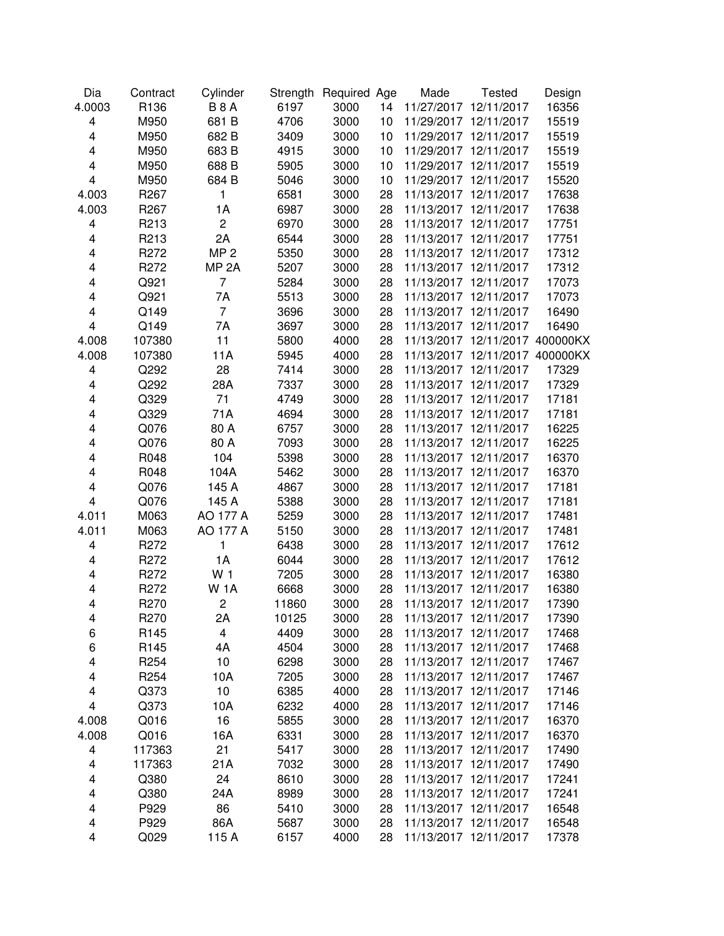| Dia                     | Contract         | Cylinder         |       | Strength Required Age |    | Made                  | <b>Tested</b>                  | Design |
|-------------------------|------------------|------------------|-------|-----------------------|----|-----------------------|--------------------------------|--------|
| 4.0003                  | R136             | <b>B8A</b>       | 6197  | 3000                  | 14 | 11/27/2017 12/11/2017 |                                | 16356  |
| 4                       | M950             | 681 B            | 4706  | 3000                  | 10 | 11/29/2017 12/11/2017 |                                | 15519  |
| 4                       | M950             | 682 B            | 3409  | 3000                  | 10 |                       | 11/29/2017 12/11/2017          | 15519  |
| 4                       | M950             | 683 B            | 4915  | 3000                  | 10 |                       | 11/29/2017 12/11/2017          | 15519  |
| 4                       | M950             | 688 B            | 5905  | 3000                  | 10 |                       | 11/29/2017 12/11/2017          | 15519  |
| $\overline{\mathbf{4}}$ | M950             | 684 B            | 5046  | 3000                  | 10 |                       | 11/29/2017 12/11/2017          | 15520  |
| 4.003                   | R <sub>267</sub> | 1                | 6581  | 3000                  | 28 |                       | 11/13/2017 12/11/2017          | 17638  |
| 4.003                   | R267             | 1A               | 6987  | 3000                  | 28 |                       | 11/13/2017 12/11/2017          | 17638  |
| 4                       | R213             | $\overline{c}$   | 6970  | 3000                  | 28 |                       | 11/13/2017 12/11/2017          | 17751  |
| 4                       | R213             | 2A               | 6544  | 3000                  | 28 |                       | 11/13/2017 12/11/2017          | 17751  |
| 4                       | R272             | MP <sub>2</sub>  | 5350  | 3000                  | 28 |                       | 11/13/2017 12/11/2017          | 17312  |
| 4                       | R272             | MP <sub>2A</sub> | 5207  | 3000                  | 28 |                       | 11/13/2017 12/11/2017          | 17312  |
| 4                       | Q921             | $\overline{7}$   | 5284  | 3000                  | 28 |                       | 11/13/2017 12/11/2017          | 17073  |
| 4                       | Q921             | 7A               | 5513  | 3000                  | 28 |                       | 11/13/2017 12/11/2017          | 17073  |
| 4                       | Q149             | $\overline{7}$   | 3696  | 3000                  | 28 |                       | 11/13/2017 12/11/2017          | 16490  |
| $\overline{\mathbf{4}}$ | Q149             | 7A               | 3697  | 3000                  | 28 | 11/13/2017 12/11/2017 |                                | 16490  |
| 4.008                   | 107380           | 11               | 5800  | 4000                  | 28 |                       | 11/13/2017 12/11/2017 400000KX |        |
| 4.008                   | 107380           | 11A              | 5945  | 4000                  | 28 |                       | 11/13/2017 12/11/2017 400000KX |        |
| 4                       | Q292             | 28               | 7414  | 3000                  | 28 | 11/13/2017 12/11/2017 |                                | 17329  |
| 4                       | Q292             | 28A              | 7337  | 3000                  | 28 |                       | 11/13/2017 12/11/2017          | 17329  |
| 4                       | Q329             | 71               | 4749  | 3000                  | 28 |                       | 11/13/2017 12/11/2017          | 17181  |
| 4                       | Q329             | 71A              | 4694  | 3000                  | 28 |                       | 11/13/2017 12/11/2017          | 17181  |
| 4                       | Q076             | 80 A             | 6757  | 3000                  | 28 |                       | 11/13/2017 12/11/2017          | 16225  |
| 4                       | Q076             | 80 A             | 7093  | 3000                  | 28 | 11/13/2017            | 12/11/2017                     | 16225  |
| 4                       | R048             | 104              | 5398  | 3000                  | 28 |                       | 11/13/2017 12/11/2017          | 16370  |
| 4                       | R048             | 104A             | 5462  | 3000                  | 28 |                       | 11/13/2017 12/11/2017          | 16370  |
| 4                       | Q076             | 145 A            | 4867  | 3000                  | 28 |                       | 11/13/2017 12/11/2017          | 17181  |
| 4                       | Q076             | 145 A            | 5388  | 3000                  | 28 |                       | 11/13/2017 12/11/2017          | 17181  |
| 4.011                   | M063             | AO 177 A         | 5259  | 3000                  | 28 |                       | 11/13/2017 12/11/2017          | 17481  |
| 4.011                   | M063             | AO 177 A         | 5150  | 3000                  | 28 |                       | 11/13/2017 12/11/2017          | 17481  |
| 4                       | R272             | $\mathbf{1}$     | 6438  | 3000                  | 28 |                       | 11/13/2017 12/11/2017          | 17612  |
| 4                       | R272             | 1A               | 6044  | 3000                  | 28 |                       | 11/13/2017 12/11/2017          | 17612  |
| 4                       | R272             | W <sub>1</sub>   | 7205  | 3000                  | 28 |                       | 11/13/2017 12/11/2017          | 16380  |
| 4                       | R272             | <b>W1A</b>       | 6668  | 3000                  | 28 |                       | 11/13/2017 12/11/2017          | 16380  |
| 4                       | R270             | $\overline{c}$   | 11860 |                       | 28 | 11/13/2017 12/11/2017 |                                | 17390  |
| 4                       | R270             | 2A               | 10125 | 3000<br>3000          | 28 | 11/13/2017 12/11/2017 |                                | 17390  |
|                         |                  |                  |       |                       |    |                       |                                |        |
| 6                       | R145             | 4                | 4409  | 3000                  | 28 | 11/13/2017 12/11/2017 |                                | 17468  |
| 6                       | R145             | 4A               | 4504  | 3000                  | 28 | 11/13/2017 12/11/2017 |                                | 17468  |
| 4                       | R <sub>254</sub> | 10               | 6298  | 3000                  | 28 | 11/13/2017 12/11/2017 |                                | 17467  |
| 4                       | R <sub>254</sub> | 10A              | 7205  | 3000                  | 28 | 11/13/2017 12/11/2017 |                                | 17467  |
| 4                       | Q373             | 10               | 6385  | 4000                  | 28 | 11/13/2017 12/11/2017 |                                | 17146  |
| 4                       | Q373             | 10A              | 6232  | 4000                  | 28 | 11/13/2017 12/11/2017 |                                | 17146  |
| 4.008                   | Q016             | 16               | 5855  | 3000                  | 28 | 11/13/2017 12/11/2017 |                                | 16370  |
| 4.008                   | Q016             | 16A              | 6331  | 3000                  | 28 | 11/13/2017 12/11/2017 |                                | 16370  |
| 4                       | 117363           | 21               | 5417  | 3000                  | 28 | 11/13/2017 12/11/2017 |                                | 17490  |
| 4                       | 117363           | 21A              | 7032  | 3000                  | 28 | 11/13/2017 12/11/2017 |                                | 17490  |
| 4                       | Q380             | 24               | 8610  | 3000                  | 28 | 11/13/2017 12/11/2017 |                                | 17241  |
| 4                       | Q380             | 24A              | 8989  | 3000                  | 28 | 11/13/2017 12/11/2017 |                                | 17241  |
| 4                       | P929             | 86               | 5410  | 3000                  | 28 | 11/13/2017 12/11/2017 |                                | 16548  |
| 4                       | P929             | 86A              | 5687  | 3000                  | 28 | 11/13/2017 12/11/2017 |                                | 16548  |
| 4                       | Q029             | 115 A            | 6157  | 4000                  | 28 | 11/13/2017 12/11/2017 |                                | 17378  |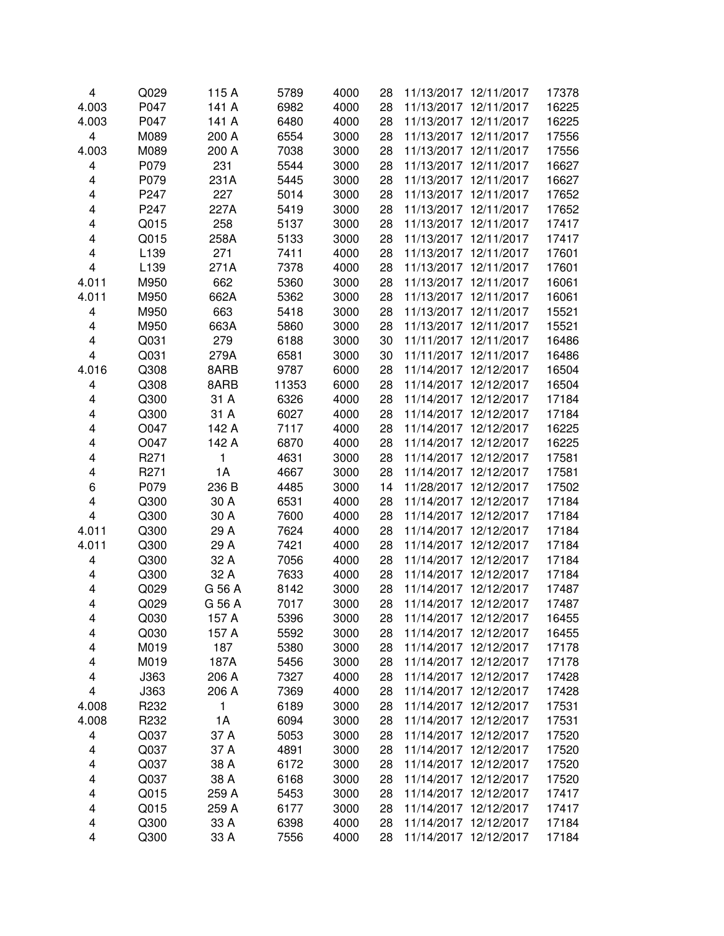| 4     | Q029         | 115 A  | 5789  | 4000         | 28 | 11/13/2017 12/11/2017 | 17378 |
|-------|--------------|--------|-------|--------------|----|-----------------------|-------|
| 4.003 | P047         | 141 A  | 6982  | 4000         | 28 | 11/13/2017 12/11/2017 | 16225 |
| 4.003 | P047         | 141 A  | 6480  | 4000         | 28 | 11/13/2017 12/11/2017 | 16225 |
| 4     | M089         | 200 A  | 6554  | 3000         | 28 | 11/13/2017 12/11/2017 | 17556 |
| 4.003 | M089         | 200 A  | 7038  | 3000         | 28 | 11/13/2017 12/11/2017 | 17556 |
| 4     | P079         | 231    | 5544  | 3000         | 28 | 11/13/2017 12/11/2017 | 16627 |
| 4     | P079         | 231A   | 5445  | 3000         | 28 | 11/13/2017 12/11/2017 | 16627 |
| 4     | P247         | 227    | 5014  | 3000         | 28 | 11/13/2017 12/11/2017 | 17652 |
| 4     | P247         | 227A   | 5419  | 3000         | 28 | 11/13/2017 12/11/2017 | 17652 |
| 4     | Q015         | 258    | 5137  | 3000         | 28 | 11/13/2017 12/11/2017 | 17417 |
| 4     | Q015         | 258A   | 5133  | 3000         | 28 | 11/13/2017 12/11/2017 | 17417 |
| 4     | L139         | 271    | 7411  | 4000         | 28 | 11/13/2017 12/11/2017 | 17601 |
| 4     | L139         | 271A   | 7378  | 4000         | 28 | 11/13/2017 12/11/2017 | 17601 |
| 4.011 | M950         | 662    | 5360  | 3000         | 28 | 11/13/2017 12/11/2017 | 16061 |
| 4.011 | M950         | 662A   | 5362  | 3000         | 28 | 11/13/2017 12/11/2017 | 16061 |
| 4     | M950         | 663    | 5418  | 3000         | 28 | 11/13/2017 12/11/2017 | 15521 |
| 4     | M950         | 663A   | 5860  | 3000         | 28 | 11/13/2017 12/11/2017 | 15521 |
| 4     | Q031         | 279    | 6188  | 3000         | 30 | 11/11/2017 12/11/2017 | 16486 |
| 4     | Q031         | 279A   | 6581  | 3000         | 30 | 11/11/2017 12/11/2017 | 16486 |
| 4.016 | Q308         | 8ARB   | 9787  | 6000         | 28 | 11/14/2017 12/12/2017 | 16504 |
| 4     | Q308         | 8ARB   | 11353 | 6000         | 28 | 11/14/2017 12/12/2017 | 16504 |
| 4     | Q300         | 31 A   | 6326  | 4000         | 28 | 11/14/2017 12/12/2017 | 17184 |
| 4     | Q300         | 31 A   | 6027  | 4000         | 28 | 11/14/2017 12/12/2017 | 17184 |
| 4     | O047         | 142 A  | 7117  | 4000         | 28 | 11/14/2017 12/12/2017 | 16225 |
| 4     | O047         | 142 A  | 6870  | 4000         | 28 | 11/14/2017 12/12/2017 | 16225 |
| 4     | R271         | 1      | 4631  | 3000         | 28 | 11/14/2017 12/12/2017 | 17581 |
| 4     | R271         | 1A     | 4667  | 3000         | 28 | 11/14/2017 12/12/2017 | 17581 |
| 6     | P079         | 236 B  | 4485  | 3000         | 14 | 11/28/2017 12/12/2017 | 17502 |
| 4     | Q300         | 30 A   | 6531  | 4000         | 28 | 11/14/2017 12/12/2017 | 17184 |
| 4     | Q300         | 30 A   | 7600  | 4000         | 28 | 11/14/2017 12/12/2017 | 17184 |
| 4.011 | Q300         | 29 A   | 7624  | 4000         | 28 | 11/14/2017 12/12/2017 | 17184 |
| 4.011 | Q300         | 29 A   | 7421  | 4000         | 28 | 11/14/2017 12/12/2017 | 17184 |
| 4     | Q300         | 32 A   | 7056  | 4000         | 28 | 11/14/2017 12/12/2017 | 17184 |
| 4     | Q300         | 32 A   | 7633  | 4000         | 28 | 11/14/2017 12/12/2017 | 17184 |
| 4     | Q029         | G 56 A | 8142  | 3000         | 28 | 11/14/2017 12/12/2017 | 17487 |
| 4     | Q029         | G 56 A | 7017  | 3000         | 28 | 11/14/2017 12/12/2017 | 17487 |
| 4     |              | 157 A  | 5396  |              | 28 | 11/14/2017 12/12/2017 | 16455 |
| 4     | Q030<br>Q030 | 157 A  | 5592  | 3000<br>3000 | 28 | 11/14/2017 12/12/2017 | 16455 |
| 4     | M019         | 187    | 5380  | 3000         | 28 | 11/14/2017 12/12/2017 | 17178 |
| 4     | M019         | 187A   | 5456  | 3000         | 28 | 11/14/2017 12/12/2017 | 17178 |
| 4     | J363         | 206 A  | 7327  | 4000         | 28 | 11/14/2017 12/12/2017 | 17428 |
| 4     | J363         | 206 A  | 7369  | 4000         | 28 | 11/14/2017 12/12/2017 | 17428 |
| 4.008 | R232         | 1      | 6189  | 3000         | 28 | 11/14/2017 12/12/2017 | 17531 |
| 4.008 | R232         | 1A     | 6094  | 3000         | 28 | 11/14/2017 12/12/2017 | 17531 |
| 4     | Q037         | 37 A   | 5053  | 3000         | 28 | 11/14/2017 12/12/2017 | 17520 |
| 4     | Q037         | 37 A   | 4891  | 3000         | 28 | 11/14/2017 12/12/2017 | 17520 |
| 4     | Q037         | 38 A   | 6172  | 3000         | 28 | 11/14/2017 12/12/2017 | 17520 |
| 4     | Q037         | 38 A   | 6168  | 3000         | 28 | 11/14/2017 12/12/2017 | 17520 |
| 4     | Q015         | 259 A  | 5453  | 3000         | 28 | 11/14/2017 12/12/2017 | 17417 |
| 4     | Q015         | 259 A  | 6177  | 3000         | 28 | 11/14/2017 12/12/2017 | 17417 |
|       | Q300         | 33 A   | 6398  | 4000         |    | 11/14/2017 12/12/2017 | 17184 |
| 4     |              |        |       |              | 28 |                       |       |
| 4     | Q300         | 33 A   | 7556  | 4000         | 28 | 11/14/2017 12/12/2017 | 17184 |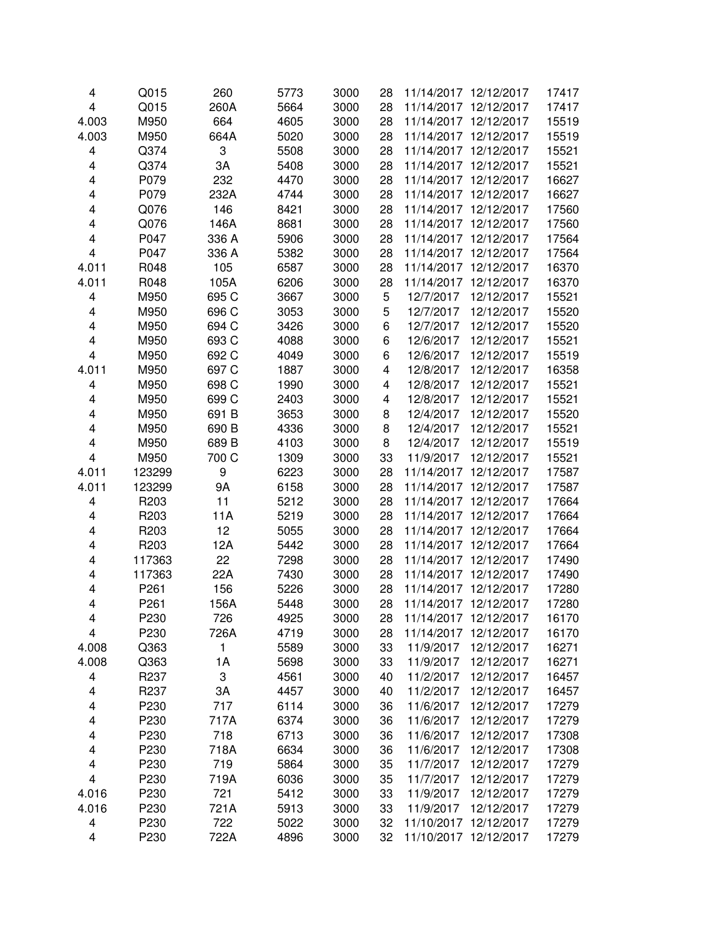| 4                       | Q015             | 260   | 5773 | 3000 | 28 | 11/14/2017 12/12/2017 |            | 17417 |
|-------------------------|------------------|-------|------|------|----|-----------------------|------------|-------|
| $\overline{\mathbf{4}}$ | Q015             | 260A  | 5664 | 3000 | 28 | 11/14/2017 12/12/2017 |            | 17417 |
| 4.003                   | M950             | 664   | 4605 | 3000 | 28 | 11/14/2017 12/12/2017 |            | 15519 |
| 4.003                   | M950             | 664A  | 5020 | 3000 | 28 | 11/14/2017 12/12/2017 |            | 15519 |
| 4                       | Q374             | 3     | 5508 | 3000 | 28 | 11/14/2017 12/12/2017 |            | 15521 |
| 4                       | Q374             | 3A    | 5408 | 3000 | 28 | 11/14/2017 12/12/2017 |            | 15521 |
| 4                       | P079             | 232   | 4470 | 3000 | 28 | 11/14/2017 12/12/2017 |            | 16627 |
| 4                       | P079             | 232A  | 4744 | 3000 | 28 | 11/14/2017 12/12/2017 |            | 16627 |
| 4                       | Q076             | 146   | 8421 | 3000 | 28 | 11/14/2017 12/12/2017 |            | 17560 |
| 4                       | Q076             | 146A  | 8681 | 3000 | 28 | 11/14/2017 12/12/2017 |            | 17560 |
| 4                       | P047             | 336 A | 5906 | 3000 | 28 | 11/14/2017 12/12/2017 |            | 17564 |
| 4                       | P047             | 336 A | 5382 | 3000 | 28 | 11/14/2017 12/12/2017 |            | 17564 |
| 4.011                   | R048             | 105   | 6587 | 3000 | 28 | 11/14/2017 12/12/2017 |            | 16370 |
| 4.011                   | R048             | 105A  | 6206 | 3000 | 28 | 11/14/2017 12/12/2017 |            | 16370 |
| 4                       | M950             | 695 C | 3667 | 3000 | 5  | 12/7/2017             | 12/12/2017 | 15521 |
| $\overline{\mathbf{4}}$ | M950             | 696 C | 3053 | 3000 | 5  | 12/7/2017             | 12/12/2017 | 15520 |
| 4                       | M950             | 694 C | 3426 | 3000 | 6  | 12/7/2017             | 12/12/2017 | 15520 |
| 4                       | M950             | 693 C | 4088 | 3000 | 6  | 12/6/2017             | 12/12/2017 | 15521 |
| 4                       | M950             | 692 C | 4049 | 3000 | 6  | 12/6/2017             | 12/12/2017 | 15519 |
| 4.011                   | M950             | 697 C | 1887 | 3000 | 4  | 12/8/2017             | 12/12/2017 | 16358 |
| 4                       | M950             | 698 C | 1990 | 3000 | 4  | 12/8/2017             | 12/12/2017 | 15521 |
| 4                       | M950             | 699 C | 2403 | 3000 | 4  | 12/8/2017             | 12/12/2017 | 15521 |
| 4                       | M950             | 691B  | 3653 | 3000 | 8  | 12/4/2017             | 12/12/2017 | 15520 |
| 4                       | M950             | 690 B | 4336 | 3000 | 8  | 12/4/2017             | 12/12/2017 | 15521 |
| 4                       | M950             | 689 B | 4103 | 3000 | 8  | 12/4/2017             | 12/12/2017 | 15519 |
| 4                       | M950             | 700 C | 1309 | 3000 | 33 | 11/9/2017             | 12/12/2017 | 15521 |
| 4.011                   | 123299           | 9     | 6223 | 3000 | 28 | 11/14/2017 12/12/2017 |            | 17587 |
| 4.011                   | 123299           | 9Α    | 6158 | 3000 | 28 | 11/14/2017 12/12/2017 |            | 17587 |
| 4                       | R203             | 11    | 5212 | 3000 | 28 | 11/14/2017 12/12/2017 |            | 17664 |
| 4                       | R <sub>203</sub> | 11A   | 5219 | 3000 | 28 | 11/14/2017 12/12/2017 |            | 17664 |
| 4                       | R203             | 12    | 5055 | 3000 | 28 | 11/14/2017 12/12/2017 |            | 17664 |
| 4                       | R203             | 12A   | 5442 | 3000 | 28 | 11/14/2017 12/12/2017 |            | 17664 |
| 4                       | 117363           | 22    | 7298 | 3000 | 28 | 11/14/2017 12/12/2017 |            | 17490 |
| 4                       | 117363           | 22A   | 7430 | 3000 | 28 | 11/14/2017 12/12/2017 |            | 17490 |
| 4                       | P261             | 156   | 5226 | 3000 | 28 | 11/14/2017 12/12/2017 |            | 17280 |
| 4                       | P261             | 156A  | 5448 | 3000 | 28 | 11/14/2017 12/12/2017 |            | 17280 |
| 4                       | P230             | 726   | 4925 | 3000 | 28 | 11/14/2017            | 12/12/2017 | 16170 |
| 4                       | P230             | 726A  | 4719 | 3000 | 28 | 11/14/2017            | 12/12/2017 | 16170 |
| 4.008                   | Q363             | 1     | 5589 | 3000 | 33 | 11/9/2017             | 12/12/2017 | 16271 |
| 4.008                   | Q363             | 1A    | 5698 | 3000 | 33 | 11/9/2017             | 12/12/2017 | 16271 |
| 4                       | R237             | 3     | 4561 | 3000 | 40 | 11/2/2017             | 12/12/2017 | 16457 |
| 4                       | R237             | 3A    | 4457 | 3000 | 40 | 11/2/2017             | 12/12/2017 | 16457 |
| 4                       | P230             | 717   | 6114 | 3000 | 36 | 11/6/2017             | 12/12/2017 | 17279 |
| 4                       | P230             | 717A  | 6374 | 3000 | 36 | 11/6/2017             | 12/12/2017 | 17279 |
| 4                       | P230             | 718   | 6713 | 3000 | 36 | 11/6/2017             | 12/12/2017 | 17308 |
| 4                       | P230             | 718A  | 6634 | 3000 | 36 | 11/6/2017             | 12/12/2017 | 17308 |
| 4                       | P230             | 719   | 5864 | 3000 | 35 | 11/7/2017             | 12/12/2017 | 17279 |
| 4                       | P230             | 719A  | 6036 | 3000 | 35 | 11/7/2017             | 12/12/2017 | 17279 |
| 4.016                   | P230             | 721   | 5412 | 3000 | 33 | 11/9/2017             | 12/12/2017 | 17279 |
| 4.016                   | P230             | 721A  | 5913 | 3000 | 33 | 11/9/2017             | 12/12/2017 | 17279 |
| 4                       | P230             | 722   | 5022 | 3000 | 32 | 11/10/2017 12/12/2017 |            | 17279 |
| 4                       | P230             | 722A  | 4896 | 3000 | 32 | 11/10/2017            | 12/12/2017 | 17279 |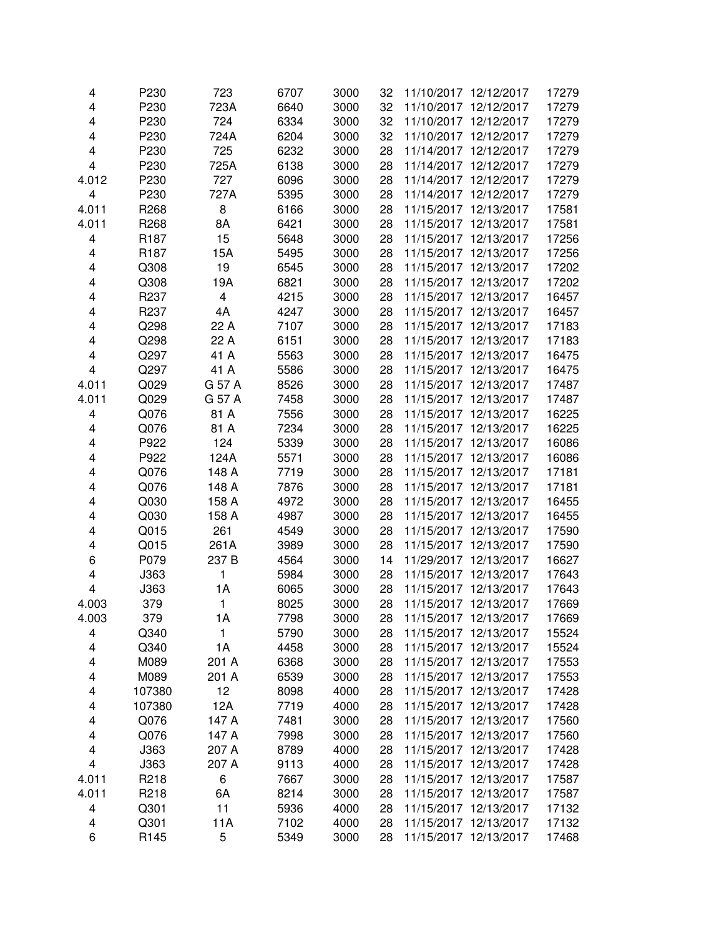| 4     | P230             | 723                     | 6707 | 3000 | 32 | 11/10/2017 12/12/2017    | 17279 |
|-------|------------------|-------------------------|------|------|----|--------------------------|-------|
| 4     | P230             | 723A                    | 6640 | 3000 | 32 | 11/10/2017 12/12/2017    | 17279 |
| 4     | P230             | 724                     | 6334 | 3000 | 32 | 11/10/2017 12/12/2017    | 17279 |
| 4     | P230             | 724A                    | 6204 | 3000 | 32 | 11/10/2017 12/12/2017    | 17279 |
| 4     | P230             | 725                     | 6232 | 3000 | 28 | 11/14/2017 12/12/2017    | 17279 |
| 4     | P230             | 725A                    | 6138 | 3000 | 28 | 11/14/2017 12/12/2017    | 17279 |
| 4.012 | P230             | 727                     | 6096 | 3000 | 28 | 11/14/2017 12/12/2017    | 17279 |
| 4     | P230             | 727A                    | 5395 | 3000 | 28 | 11/14/2017 12/12/2017    | 17279 |
| 4.011 | R <sub>268</sub> | 8                       | 6166 | 3000 | 28 | 11/15/2017 12/13/2017    | 17581 |
| 4.011 | R <sub>268</sub> | 8A                      | 6421 | 3000 | 28 | 11/15/2017 12/13/2017    | 17581 |
| 4     | R <sub>187</sub> | 15                      | 5648 | 3000 | 28 | 11/15/2017 12/13/2017    | 17256 |
| 4     | R <sub>187</sub> | 15A                     | 5495 | 3000 | 28 | 11/15/2017 12/13/2017    | 17256 |
| 4     | Q308             | 19                      | 6545 | 3000 | 28 | 11/15/2017 12/13/2017    | 17202 |
| 4     | Q308             | 19A                     | 6821 | 3000 | 28 | 11/15/2017 12/13/2017    | 17202 |
| 4     | R237             | $\overline{\mathbf{4}}$ | 4215 | 3000 | 28 | 11/15/2017 12/13/2017    | 16457 |
| 4     | R <sub>237</sub> | 4A                      | 4247 | 3000 | 28 | 11/15/2017 12/13/2017    | 16457 |
| 4     | Q298             | 22 A                    | 7107 | 3000 | 28 | 11/15/2017 12/13/2017    | 17183 |
| 4     | Q298             | 22 A                    | 6151 | 3000 | 28 | 11/15/2017 12/13/2017    | 17183 |
| 4     | Q297             | 41 A                    | 5563 | 3000 | 28 | 11/15/2017 12/13/2017    | 16475 |
| 4     | Q297             | 41 A                    | 5586 | 3000 | 28 | 11/15/2017 12/13/2017    | 16475 |
| 4.011 | Q029             | G 57 A                  | 8526 | 3000 | 28 | 11/15/2017 12/13/2017    | 17487 |
| 4.011 | Q029             | G 57 A                  | 7458 | 3000 | 28 | 11/15/2017 12/13/2017    | 17487 |
| 4     | Q076             | 81 A                    | 7556 | 3000 | 28 | 11/15/2017 12/13/2017    | 16225 |
| 4     | Q076             | 81 A                    | 7234 | 3000 | 28 | 11/15/2017 12/13/2017    | 16225 |
| 4     | P922             | 124                     | 5339 | 3000 | 28 | 11/15/2017 12/13/2017    | 16086 |
| 4     | P922             | 124A                    | 5571 | 3000 | 28 | 11/15/2017 12/13/2017    | 16086 |
| 4     | Q076             | 148 A                   | 7719 | 3000 | 28 | 11/15/2017 12/13/2017    | 17181 |
| 4     | Q076             | 148 A                   | 7876 | 3000 | 28 | 11/15/2017 12/13/2017    | 17181 |
| 4     | Q030             | 158 A                   | 4972 | 3000 | 28 | 11/15/2017 12/13/2017    | 16455 |
| 4     | Q030             | 158 A                   | 4987 | 3000 | 28 | 11/15/2017 12/13/2017    | 16455 |
| 4     | Q015             | 261                     | 4549 | 3000 | 28 | 11/15/2017 12/13/2017    | 17590 |
| 4     | Q015             | 261A                    | 3989 | 3000 | 28 | 11/15/2017 12/13/2017    | 17590 |
| 6     | P079             | 237 B                   | 4564 | 3000 | 14 | 11/29/2017 12/13/2017    | 16627 |
| 4     | J363             | 1                       | 5984 | 3000 | 28 | 11/15/2017<br>12/13/2017 | 17643 |
| 4     | J363             | 1A                      | 6065 | 3000 | 28 | 11/15/2017 12/13/2017    | 17643 |
| 4.003 | 379              | 1                       | 8025 | 3000 | 28 | 11/15/2017 12/13/2017    | 17669 |
| 4.003 | 379              | 1A                      | 7798 | 3000 | 28 | 11/15/2017 12/13/2017    | 17669 |
| 4     | Q340             | 1                       | 5790 | 3000 | 28 | 11/15/2017 12/13/2017    | 15524 |
| 4     | Q340             | 1A                      | 4458 | 3000 | 28 | 11/15/2017 12/13/2017    | 15524 |
| 4     | M089             | 201 A                   | 6368 | 3000 | 28 | 11/15/2017 12/13/2017    | 17553 |
| 4     | M089             | 201 A                   | 6539 | 3000 | 28 | 11/15/2017 12/13/2017    | 17553 |
| 4     | 107380           | 12                      | 8098 | 4000 | 28 | 11/15/2017 12/13/2017    | 17428 |
| 4     | 107380           | 12A                     | 7719 | 4000 | 28 | 11/15/2017 12/13/2017    | 17428 |
| 4     | Q076             | 147 A                   | 7481 | 3000 | 28 | 11/15/2017 12/13/2017    | 17560 |
| 4     | Q076             | 147 A                   | 7998 | 3000 | 28 | 11/15/2017 12/13/2017    | 17560 |
| 4     | J363             | 207 A                   | 8789 | 4000 | 28 | 11/15/2017 12/13/2017    | 17428 |
| 4     | J363             | 207 A                   | 9113 | 4000 | 28 | 11/15/2017 12/13/2017    | 17428 |
| 4.011 | R218             | 6                       | 7667 | 3000 | 28 | 11/15/2017 12/13/2017    | 17587 |
| 4.011 | R218             | 6A                      | 8214 | 3000 | 28 | 11/15/2017 12/13/2017    | 17587 |
| 4     | Q301             | 11                      | 5936 | 4000 | 28 | 11/15/2017 12/13/2017    | 17132 |
| 4     | Q301             | 11A                     | 7102 | 4000 | 28 | 11/15/2017 12/13/2017    | 17132 |
| 6     | R145             | 5                       | 5349 | 3000 | 28 | 11/15/2017 12/13/2017    | 17468 |
|       |                  |                         |      |      |    |                          |       |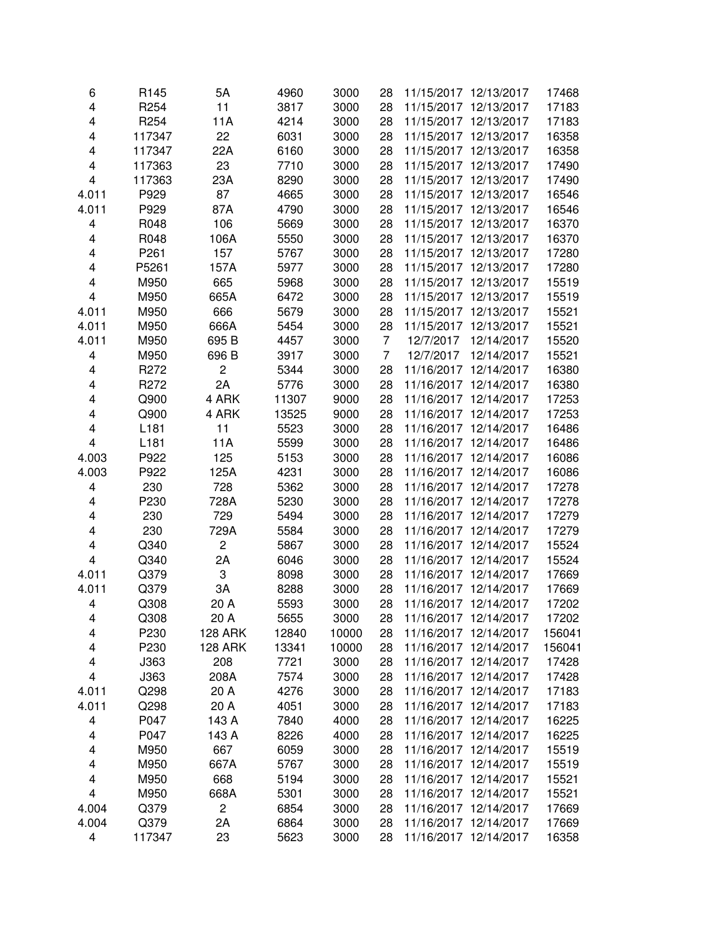| 6                       | R <sub>145</sub> | 5A             | 4960  | 3000  | 28             | 11/15/2017 12/13/2017 |            | 17468  |
|-------------------------|------------------|----------------|-------|-------|----------------|-----------------------|------------|--------|
| $\overline{\mathbf{4}}$ | R <sub>254</sub> | 11             | 3817  | 3000  | 28             | 11/15/2017 12/13/2017 |            | 17183  |
| 4                       | R <sub>254</sub> | 11A            | 4214  | 3000  | 28             | 11/15/2017 12/13/2017 |            | 17183  |
| 4                       | 117347           | 22             | 6031  | 3000  | 28             | 11/15/2017 12/13/2017 |            | 16358  |
| 4                       | 117347           | 22A            | 6160  | 3000  | 28             | 11/15/2017 12/13/2017 |            | 16358  |
| 4                       | 117363           | 23             | 7710  | 3000  | 28             | 11/15/2017 12/13/2017 |            | 17490  |
| 4                       | 117363           | 23A            | 8290  | 3000  | 28             | 11/15/2017 12/13/2017 |            | 17490  |
| 4.011                   | P929             | 87             | 4665  | 3000  | 28             | 11/15/2017 12/13/2017 |            | 16546  |
| 4.011                   | P929             | 87A            | 4790  | 3000  | 28             | 11/15/2017 12/13/2017 |            | 16546  |
| 4                       | R048             | 106            | 5669  | 3000  | 28             | 11/15/2017 12/13/2017 |            | 16370  |
| 4                       | R048             | 106A           | 5550  | 3000  | 28             | 11/15/2017 12/13/2017 |            | 16370  |
| 4                       | P261             | 157            | 5767  | 3000  | 28             | 11/15/2017 12/13/2017 |            | 17280  |
| 4                       | P5261            | 157A           | 5977  | 3000  | 28             | 11/15/2017 12/13/2017 |            | 17280  |
| 4                       | M950             | 665            | 5968  | 3000  | 28             | 11/15/2017 12/13/2017 |            | 15519  |
| $\overline{\mathbf{4}}$ | M950             | 665A           | 6472  | 3000  | 28             | 11/15/2017 12/13/2017 |            | 15519  |
| 4.011                   | M950             | 666            | 5679  | 3000  | 28             | 11/15/2017 12/13/2017 |            | 15521  |
| 4.011                   | M950             | 666A           | 5454  | 3000  | 28             | 11/15/2017 12/13/2017 |            | 15521  |
| 4.011                   | M950             | 695 B          | 4457  | 3000  | $\overline{7}$ | 12/7/2017             | 12/14/2017 | 15520  |
| 4                       | M950             | 696 B          | 3917  | 3000  | $\overline{7}$ | 12/7/2017             | 12/14/2017 | 15521  |
| 4                       | R272             | $\mathbf 2$    | 5344  | 3000  | 28             | 11/16/2017            | 12/14/2017 | 16380  |
| 4                       | R272             | 2A             | 5776  | 3000  | 28             | 11/16/2017 12/14/2017 |            | 16380  |
| 4                       | Q900             | 4 ARK          | 11307 | 9000  | 28             | 11/16/2017 12/14/2017 |            | 17253  |
| 4                       | Q900             | 4 ARK          | 13525 | 9000  | 28             | 11/16/2017 12/14/2017 |            | 17253  |
| 4                       | L181             | 11             | 5523  | 3000  | 28             | 11/16/2017 12/14/2017 |            | 16486  |
| 4                       | L181             | 11A            | 5599  | 3000  | 28             | 11/16/2017 12/14/2017 |            | 16486  |
| 4.003                   | P922             | 125            | 5153  | 3000  | 28             | 11/16/2017 12/14/2017 |            | 16086  |
| 4.003                   | P922             | 125A           | 4231  | 3000  | 28             | 11/16/2017 12/14/2017 |            | 16086  |
| 4                       | 230              | 728            | 5362  | 3000  | 28             | 11/16/2017 12/14/2017 |            | 17278  |
| 4                       | P230             | 728A           | 5230  | 3000  | 28             | 11/16/2017 12/14/2017 |            | 17278  |
| 4                       | 230              | 729            | 5494  | 3000  | 28             | 11/16/2017 12/14/2017 |            | 17279  |
| 4                       | 230              | 729A           | 5584  | 3000  | 28             | 11/16/2017 12/14/2017 |            | 17279  |
| 4                       | Q340             | $\overline{c}$ | 5867  | 3000  | 28             | 11/16/2017 12/14/2017 |            | 15524  |
| 4                       | Q340             | 2A             | 6046  | 3000  | 28             | 11/16/2017 12/14/2017 |            | 15524  |
| 4.011                   | Q379             | 3              | 8098  | 3000  | 28             | 11/16/2017 12/14/2017 |            | 17669  |
| 4.011                   | Q379             | 3A             | 8288  | 3000  | 28             | 11/16/2017 12/14/2017 |            | 17669  |
| 4                       | Q308             | 20 A           | 5593  | 3000  | 28             | 11/16/2017 12/14/2017 |            | 17202  |
| 4                       | Q308             | 20 A           | 5655  | 3000  | 28             | 11/16/2017 12/14/2017 |            | 17202  |
| 4                       | P230             | <b>128 ARK</b> | 12840 | 10000 | 28             | 11/16/2017 12/14/2017 |            | 156041 |
| 4                       | P230             | <b>128 ARK</b> | 13341 | 10000 | 28             | 11/16/2017 12/14/2017 |            | 156041 |
| 4                       | J363             | 208            | 7721  | 3000  | 28             | 11/16/2017 12/14/2017 |            | 17428  |
| 4                       | J363             | 208A           | 7574  | 3000  | 28             | 11/16/2017 12/14/2017 |            | 17428  |
| 4.011                   | Q298             | 20 A           | 4276  | 3000  | 28             | 11/16/2017 12/14/2017 |            | 17183  |
| 4.011                   | Q298             | 20 A           | 4051  | 3000  | 28             | 11/16/2017 12/14/2017 |            | 17183  |
| 4                       | P047             | 143 A          | 7840  | 4000  | 28             | 11/16/2017 12/14/2017 |            | 16225  |
| 4                       | P047             | 143 A          | 8226  | 4000  | 28             | 11/16/2017 12/14/2017 |            | 16225  |
| 4                       | M950             | 667            | 6059  | 3000  | 28             | 11/16/2017 12/14/2017 |            | 15519  |
| 4                       | M950             | 667A           | 5767  | 3000  | 28             | 11/16/2017 12/14/2017 |            | 15519  |
| 4                       | M950             | 668            | 5194  | 3000  | 28             | 11/16/2017 12/14/2017 |            | 15521  |
| 4                       | M950             | 668A           | 5301  | 3000  | 28             | 11/16/2017 12/14/2017 |            | 15521  |
| 4.004                   | Q379             | $\overline{c}$ | 6854  | 3000  | 28             | 11/16/2017 12/14/2017 |            | 17669  |
| 4.004                   | Q379             | 2A             | 6864  | 3000  | 28             | 11/16/2017 12/14/2017 |            | 17669  |
| 4                       | 117347           | 23             | 5623  | 3000  | 28             | 11/16/2017 12/14/2017 |            | 16358  |
|                         |                  |                |       |       |                |                       |            |        |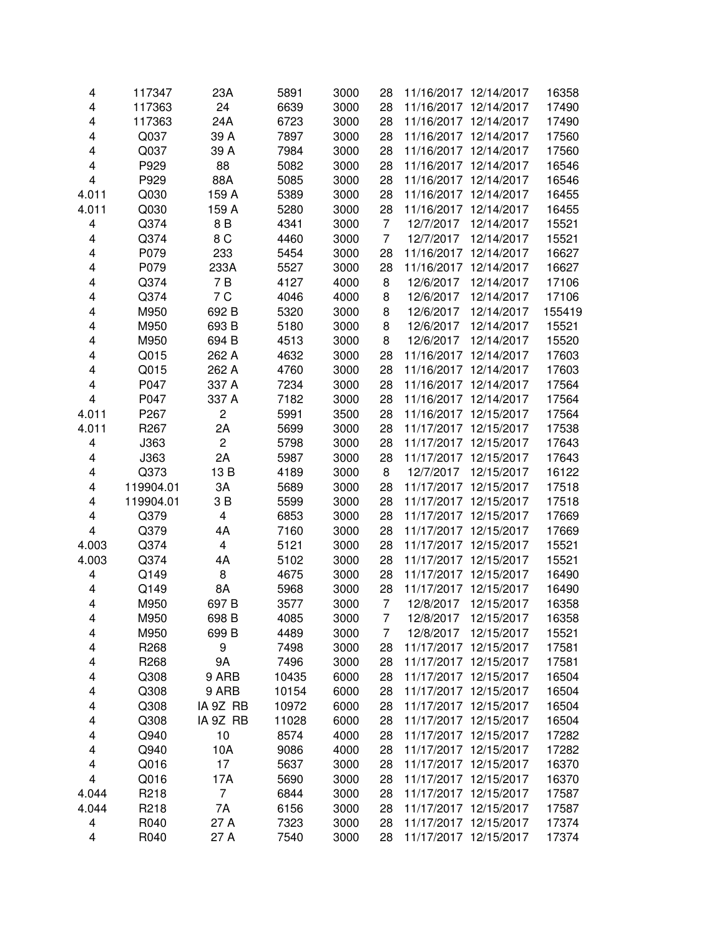| 4                       | 117347           | 23A                     | 5891  | 3000 | 28             | 11/16/2017 12/14/2017 |            | 16358  |
|-------------------------|------------------|-------------------------|-------|------|----------------|-----------------------|------------|--------|
| 4                       | 117363           | 24                      | 6639  | 3000 | 28             | 11/16/2017 12/14/2017 |            | 17490  |
| 4                       | 117363           | 24A                     | 6723  | 3000 | 28             | 11/16/2017 12/14/2017 |            | 17490  |
| 4                       | Q037             | 39 A                    | 7897  | 3000 | 28             | 11/16/2017            | 12/14/2017 | 17560  |
| 4                       | Q037             | 39 A                    | 7984  | 3000 | 28             | 11/16/2017            | 12/14/2017 | 17560  |
| 4                       | P929             | 88                      | 5082  | 3000 | 28             | 11/16/2017            | 12/14/2017 | 16546  |
| 4                       | P929             | 88A                     | 5085  | 3000 | 28             | 11/16/2017 12/14/2017 |            | 16546  |
| 4.011                   | Q030             | 159 A                   | 5389  | 3000 | 28             | 11/16/2017            | 12/14/2017 | 16455  |
| 4.011                   | Q030             | 159 A                   | 5280  | 3000 | 28             | 11/16/2017            | 12/14/2017 | 16455  |
| 4                       | Q374             | 8 B                     | 4341  | 3000 | $\overline{7}$ | 12/7/2017             | 12/14/2017 | 15521  |
| 4                       | Q374             | 8 C                     | 4460  | 3000 | $\overline{7}$ | 12/7/2017             | 12/14/2017 | 15521  |
| 4                       | P079             | 233                     | 5454  | 3000 | 28             | 11/16/2017 12/14/2017 |            | 16627  |
| 4                       | P079             | 233A                    | 5527  | 3000 | 28             | 11/16/2017 12/14/2017 |            | 16627  |
| 4                       | Q374             | 7B                      | 4127  | 4000 | 8              | 12/6/2017             | 12/14/2017 | 17106  |
| 4                       | Q374             | 7 C                     | 4046  | 4000 | 8              | 12/6/2017             | 12/14/2017 | 17106  |
| 4                       | M950             | 692 B                   | 5320  | 3000 | 8              | 12/6/2017             | 12/14/2017 | 155419 |
| 4                       | M950             | 693 B                   | 5180  | 3000 | 8              | 12/6/2017             | 12/14/2017 | 15521  |
| 4                       | M950             | 694 B                   | 4513  | 3000 | 8              | 12/6/2017             | 12/14/2017 | 15520  |
| 4                       | Q015             | 262 A                   | 4632  | 3000 | 28             | 11/16/2017 12/14/2017 |            | 17603  |
| 4                       |                  |                         |       |      |                | 11/16/2017 12/14/2017 |            |        |
|                         | Q015             | 262 A                   | 4760  | 3000 | 28             |                       |            | 17603  |
| 4                       | P047             | 337 A                   | 7234  | 3000 | 28             | 11/16/2017 12/14/2017 |            | 17564  |
| $\overline{\mathbf{4}}$ | P047             | 337 A                   | 7182  | 3000 | 28             | 11/16/2017            | 12/14/2017 | 17564  |
| 4.011                   | P267             | $\overline{c}$          | 5991  | 3500 | 28             | 11/16/2017 12/15/2017 |            | 17564  |
| 4.011                   | R <sub>267</sub> | 2A                      | 5699  | 3000 | 28             | 11/17/2017 12/15/2017 |            | 17538  |
| 4                       | J363             | $\overline{c}$          | 5798  | 3000 | 28             | 11/17/2017            | 12/15/2017 | 17643  |
| 4                       | J363             | 2A                      | 5987  | 3000 | 28             | 11/17/2017            | 12/15/2017 | 17643  |
| 4                       | Q373             | 13B                     | 4189  | 3000 | 8              | 12/7/2017             | 12/15/2017 | 16122  |
| 4                       | 119904.01        | 3A                      | 5689  | 3000 | 28             | 11/17/2017 12/15/2017 |            | 17518  |
| 4                       | 119904.01        | 3 B                     | 5599  | 3000 | 28             | 11/17/2017 12/15/2017 |            | 17518  |
| 4                       | Q379             | $\overline{\mathbf{4}}$ | 6853  | 3000 | 28             | 11/17/2017 12/15/2017 |            | 17669  |
| $\overline{\mathbf{4}}$ | Q379             | 4A                      | 7160  | 3000 | 28             | 11/17/2017 12/15/2017 |            | 17669  |
| 4.003                   | Q374             | 4                       | 5121  | 3000 | 28             | 11/17/2017 12/15/2017 |            | 15521  |
| 4.003                   | Q374             | 4A                      | 5102  | 3000 | 28             | 11/17/2017 12/15/2017 |            | 15521  |
| 4                       | Q149             | 8                       | 4675  | 3000 | 28             | 11/17/2017 12/15/2017 |            | 16490  |
| 4                       | Q149             | 8A                      | 5968  | 3000 | 28             | 11/17/2017 12/15/2017 |            | 16490  |
| 4                       | M950             | 697 <sub>B</sub>        | 3577  | 3000 | 7              | 12/8/2017             | 12/15/2017 | 16358  |
| 4                       | M950             | 698 B                   | 4085  | 3000 | $\overline{7}$ | 12/8/2017             | 12/15/2017 | 16358  |
| 4                       | M950             | 699 B                   | 4489  | 3000 | 7              | 12/8/2017             | 12/15/2017 | 15521  |
| 4                       | R268             | 9                       | 7498  | 3000 | 28             | 11/17/2017 12/15/2017 |            | 17581  |
| 4                       | R <sub>268</sub> | <b>9A</b>               | 7496  | 3000 | 28             | 11/17/2017 12/15/2017 |            | 17581  |
| 4                       | Q308             | 9 ARB                   | 10435 | 6000 | 28             | 11/17/2017 12/15/2017 |            | 16504  |
| 4                       | Q308             | 9 ARB                   | 10154 | 6000 | 28             | 11/17/2017 12/15/2017 |            | 16504  |
| 4                       | Q308             | IA 9Z RB                | 10972 | 6000 | 28             | 11/17/2017 12/15/2017 |            | 16504  |
| 4                       | Q308             | IA 9Z RB                | 11028 | 6000 | 28             | 11/17/2017 12/15/2017 |            | 16504  |
| 4                       | Q940             | 10                      | 8574  | 4000 | 28             | 11/17/2017 12/15/2017 |            | 17282  |
| 4                       | Q940             | 10A                     | 9086  | 4000 | 28             | 11/17/2017 12/15/2017 |            | 17282  |
| 4                       | Q016             | 17                      | 5637  | 3000 | 28             | 11/17/2017 12/15/2017 |            | 16370  |
| $\overline{\mathbf{4}}$ | Q016             | 17A                     | 5690  | 3000 | 28             | 11/17/2017 12/15/2017 |            | 16370  |
| 4.044                   | R218             | $\overline{7}$          | 6844  | 3000 | 28             | 11/17/2017 12/15/2017 |            | 17587  |
| 4.044                   | R218             | 7A                      | 6156  | 3000 | 28             | 11/17/2017 12/15/2017 |            | 17587  |
| 4                       | R040             | 27 A                    | 7323  | 3000 | 28             | 11/17/2017 12/15/2017 |            | 17374  |
| 4                       | R040             | 27 A                    | 7540  | 3000 | 28             | 11/17/2017 12/15/2017 |            | 17374  |
|                         |                  |                         |       |      |                |                       |            |        |